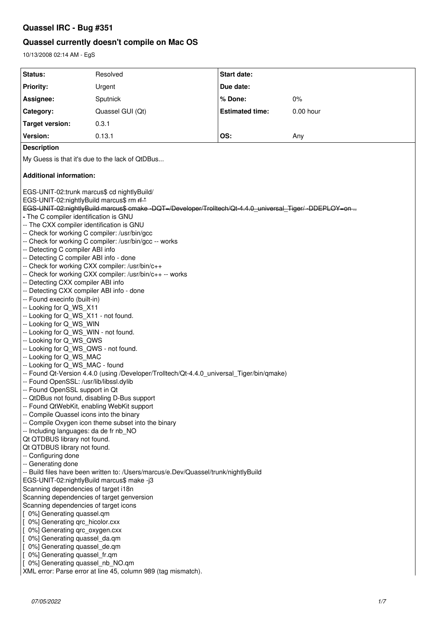## **Quassel IRC - Bug #351**

## **Quassel currently doesn't compile on Mac OS**

10/13/2008 02:14 AM - EgS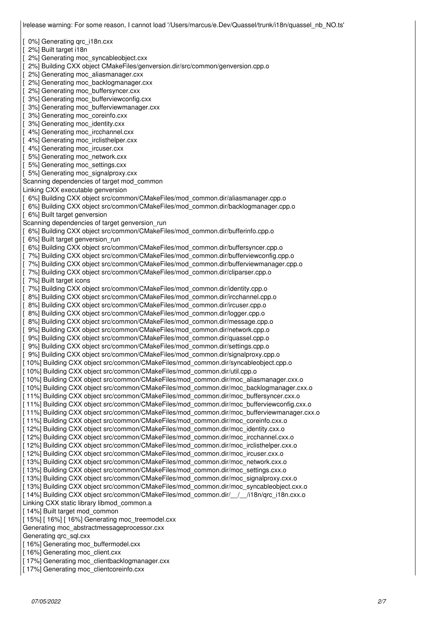[ 0%] Generating qrc\_i18n.cxx [ 2%] Built target i18n [ 2%] Generating moc\_syncableobject.cxx [ 2%] Building CXX object CMakeFiles/genversion.dir/src/common/genversion.cpp.o [ 2%] Generating moc\_aliasmanager.cxx [ 2%] Generating moc\_backlogmanager.cxx 2%] Generating moc\_buffersyncer.cxx [ 3%] Generating moc\_bufferviewconfig.cxx [ 3%] Generating moc\_bufferviewmanager.cxx [ 3%] Generating moc\_coreinfo.cxx [ 3%] Generating moc\_identity.cxx 4%] Generating moc\_ircchannel.cxx 4%] Generating moc\_irclisthelper.cxx [ 4%] Generating moc\_ircuser.cxx [ 5%] Generating moc\_network.cxx [ 5%] Generating moc\_settings.cxx [ 5%] Generating moc\_signalproxy.cxx Scanning dependencies of target mod\_common Linking CXX executable genversion [ 6%] Building CXX object src/common/CMakeFiles/mod\_common.dir/aliasmanager.cpp.o [ 6%] Building CXX object src/common/CMakeFiles/mod\_common.dir/backlogmanager.cpp.o [ 6%] Built target genversion Scanning dependencies of target genversion\_run [ 6%] Building CXX object src/common/CMakeFiles/mod\_common.dir/bufferinfo.cpp.o 6%] Built target genversion\_run [ 6%] Building CXX object src/common/CMakeFiles/mod\_common.dir/buffersyncer.cpp.o [ 7%] Building CXX object src/common/CMakeFiles/mod\_common.dir/bufferviewconfig.cpp.o [ 7%] Building CXX object src/common/CMakeFiles/mod\_common.dir/bufferviewmanager.cpp.o 7%] Building CXX object src/common/CMakeFiles/mod\_common.dir/cliparser.cpp.o 7%] Built target icons [ 7%] Building CXX object src/common/CMakeFiles/mod\_common.dir/identity.cpp.o 8%] Building CXX object src/common/CMakeFiles/mod\_common.dir/ircchannel.cpp.o [ 8%] Building CXX object src/common/CMakeFiles/mod\_common.dir/ircuser.cpp.o 8%] Building CXX object src/common/CMakeFiles/mod\_common.dir/logger.cpp.o 8%] Building CXX object src/common/CMakeFiles/mod\_common.dir/message.cpp.o [ 9%] Building CXX object src/common/CMakeFiles/mod\_common.dir/network.cpp.o [ 9%] Building CXX object src/common/CMakeFiles/mod\_common.dir/quassel.cpp.o [ 9%] Building CXX object src/common/CMakeFiles/mod\_common.dir/settings.cpp.o [ 9%] Building CXX object src/common/CMakeFiles/mod\_common.dir/signalproxy.cpp.o [ 10%] Building CXX object src/common/CMakeFiles/mod\_common.dir/syncableobject.cpp.o [ 10%] Building CXX object src/common/CMakeFiles/mod\_common.dir/util.cpp.o [ 10%] Building CXX object src/common/CMakeFiles/mod\_common.dir/moc\_aliasmanager.cxx.o [ 10%] Building CXX object src/common/CMakeFiles/mod\_common.dir/moc\_backlogmanager.cxx.o [ 11%] Building CXX object src/common/CMakeFiles/mod\_common.dir/moc\_buffersyncer.cxx.o [ 11%] Building CXX object src/common/CMakeFiles/mod\_common.dir/moc\_bufferviewconfig.cxx.o [ 11%] Building CXX object src/common/CMakeFiles/mod\_common.dir/moc\_bufferviewmanager.cxx.o [ 11%] Building CXX object src/common/CMakeFiles/mod\_common.dir/moc\_coreinfo.cxx.o [ 12%] Building CXX object src/common/CMakeFiles/mod\_common.dir/moc\_identity.cxx.o [ 12%] Building CXX object src/common/CMakeFiles/mod\_common.dir/moc\_ircchannel.cxx.o [ 12%] Building CXX object src/common/CMakeFiles/mod\_common.dir/moc\_irclisthelper.cxx.o [ 12%] Building CXX object src/common/CMakeFiles/mod\_common.dir/moc\_ircuser.cxx.o [ 13%] Building CXX object src/common/CMakeFiles/mod\_common.dir/moc\_network.cxx.o [ 13%] Building CXX object src/common/CMakeFiles/mod\_common.dir/moc\_settings.cxx.o [ 13%] Building CXX object src/common/CMakeFiles/mod\_common.dir/moc\_signalproxy.cxx.o [ 13%] Building CXX object src/common/CMakeFiles/mod\_common.dir/moc\_syncableobject.cxx.o [ 14%] Building CXX object src/common/CMakeFiles/mod\_common.dir/\_\_/\_\_/i18n/qrc\_i18n.cxx.o Linking CXX static library libmod\_common.a [ 14%] Built target mod\_common [15%] [16%] [16%] Generating moc\_treemodel.cxx Generating moc\_abstractmessageprocessor.cxx Generating qrc\_sql.cxx [16%] Generating moc\_buffermodel.cxx [16%] Generating moc\_client.cxx [17%] Generating moc\_clientbacklogmanager.cxx

lrelease warning: For some reason, I cannot load '/Users/marcus/e.Dev/Quassel/trunk/i18n/quassel\_nb\_NO.ts'

[17%] Generating moc\_clientcoreinfo.cxx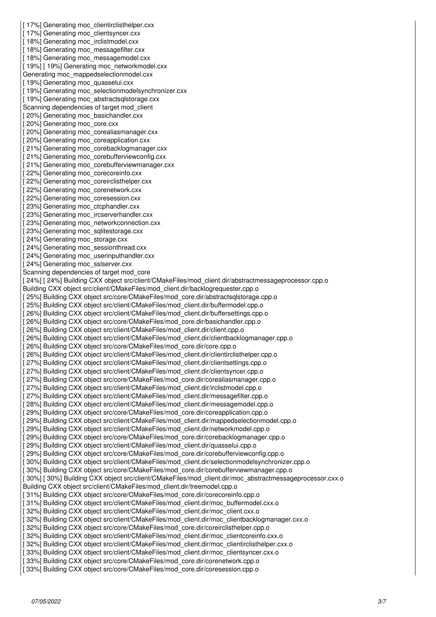[17%] Generating moc\_clientirclisthelper.cxx [17%] Generating moc\_clientsyncer.cxx [18%] Generating moc\_irclistmodel.cxx [18%] Generating moc\_messagefilter.cxx [18%] Generating moc\_messagemodel.cxx [19%] [19%] Generating moc\_networkmodel.cxx Generating moc\_mappedselectionmodel.cxx [19%] Generating moc\_quasselui.cxx [19%] Generating moc\_selectionmodelsynchronizer.cxx [19%] Generating moc\_abstractsqlstorage.cxx Scanning dependencies of target mod\_client [20%] Generating moc\_basichandler.cxx [20%] Generating moc\_core.cxx [20%] Generating moc\_corealiasmanager.cxx [20%] Generating moc\_coreapplication.cxx [21%] Generating moc\_corebacklogmanager.cxx [21%] Generating moc\_corebufferviewconfig.cxx [21%] Generating moc\_corebufferviewmanager.cxx [22%] Generating moc\_corecoreinfo.cxx [22%] Generating moc\_coreirclisthelper.cxx [22%] Generating moc\_corenetwork.cxx [22%] Generating moc\_coresession.cxx [23%] Generating moc\_ctcphandler.cxx [23%] Generating moc\_ircserverhandler.cxx [23%] Generating moc\_networkconnection.cxx [23%] Generating moc\_sqlitestorage.cxx [24%] Generating moc\_storage.cxx [24%] Generating moc\_sessionthread.cxx [24%] Generating moc\_userinputhandler.cxx [24%] Generating moc\_sslserver.cxx Scanning dependencies of target mod\_core [ 24%] [ 24%] Building CXX object src/client/CMakeFiles/mod\_client.dir/abstractmessageprocessor.cpp.o Building CXX object src/client/CMakeFiles/mod\_client.dir/backlogrequester.cpp.o [ 25%] Building CXX object src/core/CMakeFiles/mod\_core.dir/abstractsqlstorage.cpp.o [ 25%] Building CXX object src/client/CMakeFiles/mod\_client.dir/buffermodel.cpp.o [ 26%] Building CXX object src/client/CMakeFiles/mod\_client.dir/buffersettings.cpp.o [ 26%] Building CXX object src/core/CMakeFiles/mod\_core.dir/basichandler.cpp.o [ 26%] Building CXX object src/client/CMakeFiles/mod\_client.dir/client.cpp.o [ 26%] Building CXX object src/client/CMakeFiles/mod\_client.dir/clientbacklogmanager.cpp.o [ 26%] Building CXX object src/core/CMakeFiles/mod\_core.dir/core.cpp.o [ 26%] Building CXX object src/client/CMakeFiles/mod client.dir/clientirclisthelper.cpp.o [ 27%] Building CXX object src/client/CMakeFiles/mod client.dir/clientsettings.cpp.o [ 27%] Building CXX object src/client/CMakeFiles/mod client.dir/clientsyncer.cpp.o [ 27%] Building CXX object src/core/CMakeFiles/mod\_core.dir/corealiasmanager.cpp.o [ 27%] Building CXX object src/client/CMakeFiles/mod\_client.dir/irclistmodel.cpp.o [ 27%] Building CXX object src/client/CMakeFiles/mod client.dir/messagefilter.cpp.o [ 28%] Building CXX object src/client/CMakeFiles/mod\_client.dir/messagemodel.cpp.o [ 29%] Building CXX object src/core/CMakeFiles/mod\_core.dir/coreapplication.cpp.o [ 29%] Building CXX object src/client/CMakeFiles/mod\_client.dir/mappedselectionmodel.cpp.o [ 29%] Building CXX object src/client/CMakeFiles/mod\_client.dir/networkmodel.cpp.o [ 29%] Building CXX object src/core/CMakeFiles/mod\_core.dir/corebacklogmanager.cpp.o [29%] Building CXX object src/client/CMakeFiles/mod\_client.dir/quasselui.cpp.o [29%] Building CXX object src/core/CMakeFiles/mod\_core.dir/corebufferviewconfig.cpp.o [ 30%] Building CXX object src/client/CMakeFiles/mod\_client.dir/selectionmodelsynchronizer.cpp.o [30%] Building CXX object src/core/CMakeFiles/mod\_core.dir/corebufferviewmanager.cpp.o [30%] [30%] Building CXX object src/client/CMakeFiles/mod\_client.dir/moc\_abstractmessageprocessor.cxx.o Building CXX object src/client/CMakeFiles/mod\_client.dir/treemodel.cpp.o [ 31%] Building CXX object src/core/CMakeFiles/mod\_core.dir/corecoreinfo.cpp.o [31%] Building CXX object src/client/CMakeFiles/mod\_client.dir/moc\_buffermodel.cxx.o [32%] Building CXX object src/client/CMakeFiles/mod\_client.dir/moc\_client.cxx.o [32%] Building CXX object src/client/CMakeFiles/mod\_client.dir/moc\_clientbacklogmanager.cxx.o [32%] Building CXX object src/core/CMakeFiles/mod\_core.dir/coreirclisthelper.cpp.o [32%] Building CXX object src/client/CMakeFiles/mod\_client.dir/moc\_clientcoreinfo.cxx.o [ 32%] Building CXX object src/client/CMakeFiles/mod\_client.dir/moc\_clientirclisthelper.cxx.o [33%] Building CXX object src/client/CMakeFiles/mod\_client.dir/moc\_clientsyncer.cxx.o [ 33%] Building CXX object src/core/CMakeFiles/mod\_core.dir/corenetwork.cpp.o [ 33%] Building CXX object src/core/CMakeFiles/mod\_core.dir/coresession.cpp.o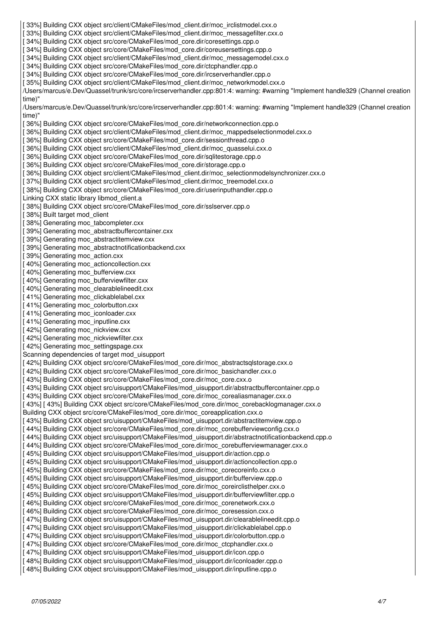[ 33%] Building CXX object src/client/CMakeFiles/mod\_client.dir/moc\_irclistmodel.cxx.o [ 33%] Building CXX object src/client/CMakeFiles/mod\_client.dir/moc\_messagefilter.cxx.o [34%] Building CXX object src/core/CMakeFiles/mod\_core.dir/coresettings.cpp.o [ 34%] Building CXX object src/core/CMakeFiles/mod\_core.dir/coreusersettings.cpp.o [ 34%] Building CXX object src/client/CMakeFiles/mod\_client.dir/moc\_messagemodel.cxx.o [34%] Building CXX object src/core/CMakeFiles/mod\_core.dir/ctcphandler.cpp.o [34%] Building CXX object src/core/CMakeFiles/mod\_core.dir/ircserverhandler.cpp.o [ 35%] Building CXX object src/client/CMakeFiles/mod\_client.dir/moc\_networkmodel.cxx.o /Users/marcus/e.Dev/Quassel/trunk/src/core/ircserverhandler.cpp:801:4: warning: #warning "Implement handle329 (Channel creation time)" /Users/marcus/e.Dev/Quassel/trunk/src/core/ircserverhandler.cpp:801:4: warning: #warning "Implement handle329 (Channel creation time)" [ 36%] Building CXX object src/core/CMakeFiles/mod\_core.dir/networkconnection.cpp.o [ 36%] Building CXX object src/client/CMakeFiles/mod\_client.dir/moc\_mappedselectionmodel.cxx.o [ 36%] Building CXX object src/core/CMakeFiles/mod\_core.dir/sessionthread.cpp.o [ 36%] Building CXX object src/client/CMakeFiles/mod\_client.dir/moc\_quasselui.cxx.o [ 36%] Building CXX object src/core/CMakeFiles/mod\_core.dir/sqlitestorage.cpp.o [36%] Building CXX object src/core/CMakeFiles/mod\_core.dir/storage.cpp.o [ 36%] Building CXX object src/client/CMakeFiles/mod\_client.dir/moc\_selectionmodelsynchronizer.cxx.o [37%] Building CXX object src/client/CMakeFiles/mod\_client.dir/moc\_treemodel.cxx.o [38%] Building CXX object src/core/CMakeFiles/mod\_core.dir/userinputhandler.cpp.o Linking CXX static library libmod\_client.a [38%] Building CXX object src/core/CMakeFiles/mod\_core.dir/sslserver.cpp.o [ 38%] Built target mod\_client [38%] Generating moc\_tabcompleter.cxx [39%] Generating moc\_abstractbuffercontainer.cxx [ 39%] Generating moc\_abstractitemview.cxx [39%] Generating moc\_abstractnotificationbackend.cxx [39%] Generating moc\_action.cxx [40%] Generating moc\_actioncollection.cxx [40%] Generating moc\_bufferview.cxx [ 40%] Generating moc\_bufferviewfilter.cxx [ 40%] Generating moc\_clearablelineedit.cxx [41%] Generating moc\_clickablelabel.cxx [41%] Generating moc\_colorbutton.cxx [41%] Generating moc\_iconloader.cxx [41%] Generating moc\_inputline.cxx [42%] Generating moc\_nickview.cxx [42%] Generating moc\_nickviewfilter.cxx [42%] Generating moc\_settingspage.cxx Scanning dependencies of target mod\_uisupport [ 42%] Building CXX object src/core/CMakeFiles/mod\_core.dir/moc\_abstractsqlstorage.cxx.o [42%] Building CXX object src/core/CMakeFiles/mod\_core.dir/moc\_basichandler.cxx.o [43%] Building CXX object src/core/CMakeFiles/mod\_core.dir/moc\_core.cxx.o [43%] Building CXX object src/uisupport/CMakeFiles/mod\_uisupport.dir/abstractbuffercontainer.cpp.o [ 43%] Building CXX object src/core/CMakeFiles/mod\_core.dir/moc\_corealiasmanager.cxx.o [ 43%] [ 43%] Building CXX object src/core/CMakeFiles/mod\_core.dir/moc\_corebacklogmanager.cxx.o Building CXX object src/core/CMakeFiles/mod\_core.dir/moc\_coreapplication.cxx.o [ 43%] Building CXX object src/uisupport/CMakeFiles/mod\_uisupport.dir/abstractitemview.cpp.o [44%] Building CXX object src/core/CMakeFiles/mod\_core.dir/moc\_corebufferviewconfig.cxx.o [44%] Building CXX object src/uisupport/CMakeFiles/mod\_uisupport.dir/abstractnotificationbackend.cpp.o [44%] Building CXX object src/core/CMakeFiles/mod\_core.dir/moc\_corebufferviewmanager.cxx.o [45%] Building CXX object src/uisupport/CMakeFiles/mod\_uisupport.dir/action.cpp.o [ 45%] Building CXX object src/uisupport/CMakeFiles/mod\_uisupport.dir/actioncollection.cpp.o [ 45%] Building CXX object src/core/CMakeFiles/mod\_core.dir/moc\_corecoreinfo.cxx.o [ 45%] Building CXX object src/uisupport/CMakeFiles/mod\_uisupport.dir/bufferview.cpp.o [ 45%] Building CXX object src/core/CMakeFiles/mod\_core.dir/moc\_coreirclisthelper.cxx.o [ 45%] Building CXX object src/uisupport/CMakeFiles/mod\_uisupport.dir/bufferviewfilter.cpp.o [ 46%] Building CXX object src/core/CMakeFiles/mod\_core.dir/moc\_corenetwork.cxx.o [ 46%] Building CXX object src/core/CMakeFiles/mod\_core.dir/moc\_coresession.cxx.o [47%] Building CXX object src/uisupport/CMakeFiles/mod\_uisupport.dir/clearablelineedit.cpp.o [ 47%] Building CXX object src/uisupport/CMakeFiles/mod\_uisupport.dir/clickablelabel.cpp.o [ 47%] Building CXX object src/uisupport/CMakeFiles/mod\_uisupport.dir/colorbutton.cpp.o [ 47%] Building CXX object src/core/CMakeFiles/mod\_core.dir/moc\_ctcphandler.cxx.o [ 47%] Building CXX object src/uisupport/CMakeFiles/mod\_uisupport.dir/icon.cpp.o [ 48%] Building CXX object src/uisupport/CMakeFiles/mod\_uisupport.dir/iconloader.cpp.o [ 48%] Building CXX object src/uisupport/CMakeFiles/mod\_uisupport.dir/inputline.cpp.o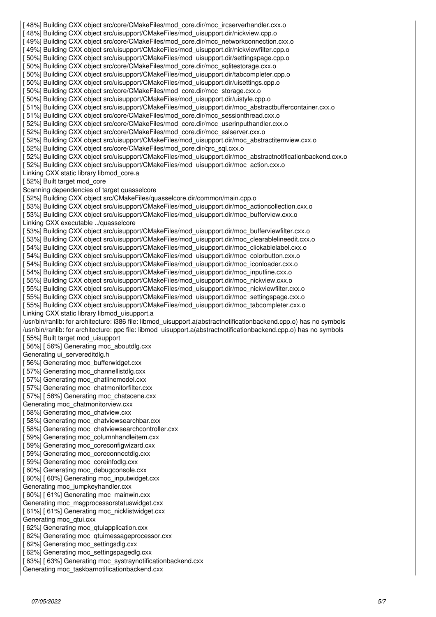[ 48%] Building CXX object src/core/CMakeFiles/mod\_core.dir/moc\_ircserverhandler.cxx.o [48%] Building CXX object src/uisupport/CMakeFiles/mod\_uisupport.dir/nickview.cpp.o [49%] Building CXX object src/core/CMakeFiles/mod\_core.dir/moc\_networkconnection.cxx.o [ 49%] Building CXX object src/uisupport/CMakeFiles/mod\_uisupport.dir/nickviewfilter.cpp.o [ 50%] Building CXX object src/uisupport/CMakeFiles/mod\_uisupport.dir/settingspage.cpp.o [50%] Building CXX object src/core/CMakeFiles/mod\_core.dir/moc\_sqlitestorage.cxx.o [ 50%] Building CXX object src/uisupport/CMakeFiles/mod\_uisupport.dir/tabcompleter.cpp.o [ 50%] Building CXX object src/uisupport/CMakeFiles/mod\_uisupport.dir/uisettings.cpp.o [ 50%] Building CXX object src/core/CMakeFiles/mod\_core.dir/moc\_storage.cxx.o [ 50%] Building CXX object src/uisupport/CMakeFiles/mod\_uisupport.dir/uistyle.cpp.o [ 51%] Building CXX object src/uisupport/CMakeFiles/mod\_uisupport.dir/moc\_abstractbuffercontainer.cxx.o [51%] Building CXX object src/core/CMakeFiles/mod\_core.dir/moc\_sessionthread.cxx.o [ 52%] Building CXX object src/core/CMakeFiles/mod\_core.dir/moc\_userinputhandler.cxx.o [52%] Building CXX object src/core/CMakeFiles/mod\_core.dir/moc\_sslserver.cxx.o [ 52%] Building CXX object src/uisupport/CMakeFiles/mod\_uisupport.dir/moc\_abstractitemview.cxx.o [52%] Building CXX object src/core/CMakeFiles/mod\_core.dir/qrc\_sql.cxx.o [52%] Building CXX object src/uisupport/CMakeFiles/mod\_uisupport.dir/moc\_abstractnotificationbackend.cxx.o [ 52%] Building CXX object src/uisupport/CMakeFiles/mod\_uisupport.dir/moc\_action.cxx.o Linking CXX static library libmod\_core.a [52%] Built target mod\_core Scanning dependencies of target quasselcore [ 52%] Building CXX object src/CMakeFiles/quasselcore.dir/common/main.cpp.o [ 53%] Building CXX object src/uisupport/CMakeFiles/mod\_uisupport.dir/moc\_actioncollection.cxx.o [ 53%] Building CXX object src/uisupport/CMakeFiles/mod\_uisupport.dir/moc\_bufferview.cxx.o Linking CXX executable ../quasselcore [ 53%] Building CXX object src/uisupport/CMakeFiles/mod\_uisupport.dir/moc\_bufferviewfilter.cxx.o [53%] Building CXX object src/uisupport/CMakeFiles/mod\_uisupport.dir/moc\_clearablelineedit.cxx.o [ 54%] Building CXX object src/uisupport/CMakeFiles/mod\_uisupport.dir/moc\_clickablelabel.cxx.o [ 54%] Building CXX object src/uisupport/CMakeFiles/mod\_uisupport.dir/moc\_colorbutton.cxx.o [ 54%] Building CXX object src/uisupport/CMakeFiles/mod\_uisupport.dir/moc\_iconloader.cxx.o [ 54%] Building CXX object src/uisupport/CMakeFiles/mod\_uisupport.dir/moc\_inputline.cxx.o [ 55%] Building CXX object src/uisupport/CMakeFiles/mod\_uisupport.dir/moc\_nickview.cxx.o [ 55%] Building CXX object src/uisupport/CMakeFiles/mod\_uisupport.dir/moc\_nickviewfilter.cxx.o [ 55%] Building CXX object src/uisupport/CMakeFiles/mod\_uisupport.dir/moc\_settingspage.cxx.o [ 55%] Building CXX object src/uisupport/CMakeFiles/mod\_uisupport.dir/moc\_tabcompleter.cxx.o Linking CXX static library libmod\_uisupport.a /usr/bin/ranlib: for architecture: i386 file: libmod\_uisupport.a(abstractnotificationbackend.cpp.o) has no symbols /usr/bin/ranlib: for architecture: ppc file: libmod\_uisupport.a(abstractnotificationbackend.cpp.o) has no symbols [55%] Built target mod\_uisupport [ 56%] [ 56%] Generating moc\_aboutdlg.cxx Generating ui\_servereditdlg.h [56%] Generating moc\_bufferwidget.cxx [ 57%] Generating moc\_channellistdlg.cxx [ 57%] Generating moc\_chatlinemodel.cxx [ 57%] Generating moc\_chatmonitorfilter.cxx [ 57%] [ 58%] Generating moc\_chatscene.cxx Generating moc\_chatmonitorview.cxx [58%] Generating moc\_chatview.cxx [58%] Generating moc\_chatviewsearchbar.cxx [58%] Generating moc\_chatviewsearchcontroller.cxx [59%] Generating moc\_columnhandleitem.cxx [59%] Generating moc\_coreconfigwizard.cxx [59%] Generating moc\_coreconnectdlg.cxx [59%] Generating moc\_coreinfodlg.cxx [ 60%] Generating moc\_debugconsole.cxx [ 60%] [ 60%] Generating moc\_inputwidget.cxx Generating moc\_jumpkeyhandler.cxx [ 60%] [ 61%] Generating moc\_mainwin.cxx Generating moc\_msgprocessorstatuswidget.cxx [ 61%] [ 61%] Generating moc\_nicklistwidget.cxx Generating moc\_qtui.cxx [62%] Generating moc\_qtuiapplication.cxx [62%] Generating moc\_qtuimessageprocessor.cxx [ 62%] Generating moc\_settingsdlg.cxx [ 62%] Generating moc\_settingspagedlg.cxx [ 63%] [ 63%] Generating moc\_systraynotificationbackend.cxx Generating moc\_taskbarnotificationbackend.cxx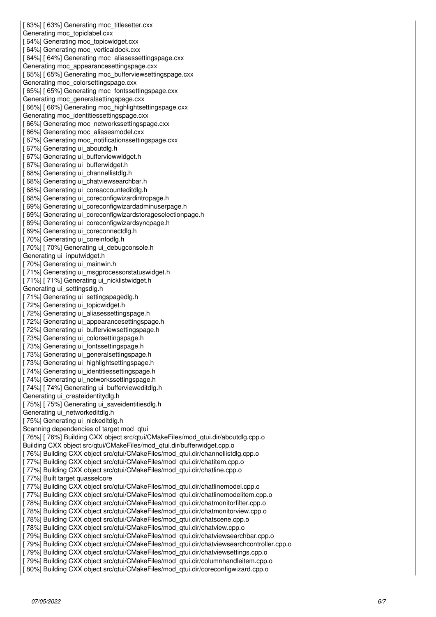[63%] [63%] Generating moc\_titlesetter.cxx Generating moc\_topiclabel.cxx [ 64%] Generating moc\_topicwidget.cxx [64%] Generating moc\_verticaldock.cxx [64%] [64%] Generating moc\_aliasessettingspage.cxx Generating moc\_appearancesettingspage.cxx [65%] [65%] Generating moc\_bufferviewsettingspage.cxx Generating moc\_colorsettingspage.cxx [65%] [65%] Generating moc\_fontssettingspage.cxx Generating moc\_generalsettingspage.cxx [66%] [66%] Generating moc\_highlightsettingspage.cxx Generating moc\_identitiessettingspage.cxx [66%] Generating moc\_networkssettingspage.cxx [ 66%] Generating moc\_aliasesmodel.cxx [67%] Generating moc\_notificationssettingspage.cxx [ 67%] Generating ui\_aboutdlg.h [ 67%] Generating ui\_bufferviewwidget.h [ 67%] Generating ui\_bufferwidget.h [ 68%] Generating ui\_channellistdlg.h [ 68%] Generating ui\_chatviewsearchbar.h [ 68%] Generating ui\_coreaccounteditdlg.h [68%] Generating ui\_coreconfigwizardintropage.h [69%] Generating ui\_coreconfigwizardadminuserpage.h [69%] Generating ui\_coreconfigwizardstorageselectionpage.h [ 69%] Generating ui\_coreconfigwizardsyncpage.h [ 69%] Generating ui\_coreconnectdlg.h [70%] Generating ui\_coreinfodlg.h [ 70%] [ 70%] Generating ui\_debugconsole.h Generating ui\_inputwidget.h [ 70%] Generating ui\_mainwin.h [ 71%] Generating ui\_msgprocessorstatuswidget.h [ 71%] [ 71%] Generating ui\_nicklistwidget.h Generating ui\_settingsdlg.h [ 71%] Generating ui\_settingspagedlg.h [ 72%] Generating ui\_topicwidget.h [ 72%] Generating ui\_aliasessettingspage.h [ 72%] Generating ui\_appearancesettingspage.h [ 72%] Generating ui\_bufferviewsettingspage.h [ 73%] Generating ui\_colorsettingspage.h [ 73%] Generating ui\_fontssettingspage.h [ 73%] Generating ui\_generalsettingspage.h [ 73%] Generating ui\_highlightsettingspage.h [ 74%] Generating ui identitiessettingspage.h [ 74%] Generating ui\_networkssettingspage.h [ 74%] [ 74%] Generating ui\_buffervieweditdlg.h Generating ui\_createidentitydlg.h [ 75%] [ 75%] Generating ui\_saveidentitiesdlg.h Generating ui\_networkeditdlg.h [ 75%] Generating ui\_nickeditdlg.h Scanning dependencies of target mod\_qtui [ 76%] [ 76%] Building CXX object src/qtui/CMakeFiles/mod\_qtui.dir/aboutdlg.cpp.o Building CXX object src/qtui/CMakeFiles/mod\_qtui.dir/bufferwidget.cpp.o [ 76%] Building CXX object src/qtui/CMakeFiles/mod\_qtui.dir/channellistdlg.cpp.o [ 77%] Building CXX object src/qtui/CMakeFiles/mod\_qtui.dir/chatitem.cpp.o [ 77%] Building CXX object src/qtui/CMakeFiles/mod\_qtui.dir/chatline.cpp.o [ 77%] Built target quasselcore [ 77%] Building CXX object src/qtui/CMakeFiles/mod\_qtui.dir/chatlinemodel.cpp.o [ 77%] Building CXX object src/qtui/CMakeFiles/mod\_qtui.dir/chatlinemodelitem.cpp.o [ 78%] Building CXX object src/qtui/CMakeFiles/mod\_qtui.dir/chatmonitorfilter.cpp.o [ 78%] Building CXX object src/qtui/CMakeFiles/mod\_qtui.dir/chatmonitorview.cpp.o [ 78%] Building CXX object src/qtui/CMakeFiles/mod\_qtui.dir/chatscene.cpp.o [ 78%] Building CXX object src/qtui/CMakeFiles/mod\_qtui.dir/chatview.cpp.o [ 79%] Building CXX object src/qtui/CMakeFiles/mod qtui.dir/chatviewsearchbar.cpp.o [ 79%] Building CXX object src/qtui/CMakeFiles/mod\_qtui.dir/chatviewsearchcontroller.cpp.o [ 79%] Building CXX object src/qtui/CMakeFiles/mod\_qtui.dir/chatviewsettings.cpp.o [ 79%] Building CXX object src/qtui/CMakeFiles/mod\_qtui.dir/columnhandleitem.cpp.o [ 80%] Building CXX object src/qtui/CMakeFiles/mod\_qtui.dir/coreconfigwizard.cpp.o